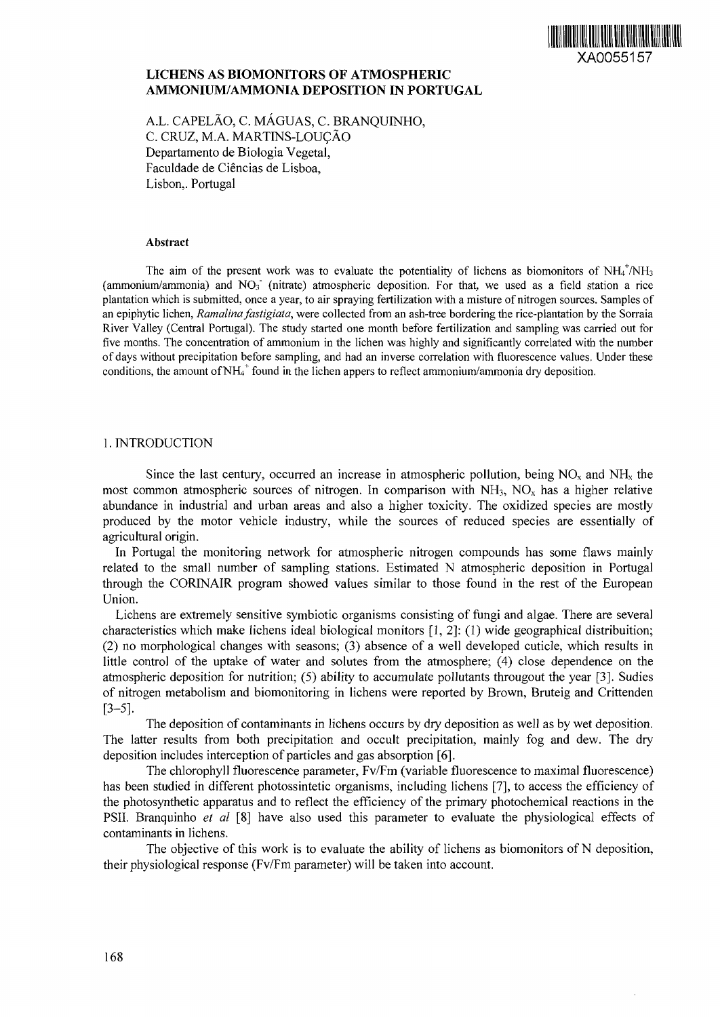

# **LICHENS AS BIOMONITORS OF ATMOSPHERIC AMMONIUM/AMMONIA DEPOSITION IN PORTUGAL**

A.L. CAPELAO, C. MAGUAS, C. BRANQUINHO, C. CRUZ, M.A. MARTINS-LOUCÃO Departamento de Biologia Vegetal, Faculdade de Ciencias de Lisboa, Lisbon,. Portugal

#### Abstract

The aim of the present work was to evaluate the potentiality of lichens as biomonitors of  $NH_4^+/\text{NH}_3$ (ammonium/ammonia) and  $NO<sub>3</sub>$  (nitrate) atmospheric deposition. For that, we used as a field station a rice plantation which is submitted, once a year, to air spraying fertilization with a misture of nitrogen sources. Samples of an epiphytic lichen, *Ramalina fastigiata,* were collected from an ash-tree bordering the rice-plantation by the Sorraia River Valley (Central Portugal). The study started one month before fertilization and sampling was carried out for five months. The concentration of ammonium in the lichen was highly and significantly correlated with the number of days without precipitation before sampling, and had an inverse correlation with fluorescence values. Under these conditions, the amount of  $NH_4^+$  found in the lichen appers to reflect ammonium/ammonia dry deposition.

# 1. INTRODUCTION

Since the last century, occurred an increase in atmospheric pollution, being  $NO<sub>x</sub>$  and  $NH<sub>x</sub>$  the most common atmospheric sources of nitrogen. In comparison with  $NH<sub>3</sub>$ ,  $NO<sub>x</sub>$  has a higher relative abundance in industrial and urban areas and also a higher toxicity. The oxidized species are mostly produced by the motor vehicle industry, while the sources of reduced species are essentially of agricultural origin.

In Portugal the monitoring network for atmospheric nitrogen compounds has some flaws mainly related to the small number of sampling stations. Estimated N atmospheric deposition in Portugal through the CORINAIR program showed values similar to those found in the rest of the European Union.

Lichens are extremely sensitive symbiotic organisms consisting of fungi and algae. There are several characteristics which make lichens ideal biological monitors [1, 2]: (1) wide geographical distribuition; (2) no morphological changes with seasons; (3) absence of a well developed cuticle, which results in little control of the uptake of water and solutes from the atmosphere; (4) close dependence on the atmospheric deposition for nutrition; (5) ability to accumulate pollutants througout the year [3]. Sudies of nitrogen metabolism and biomonitoring in lichens were reported by Brown, Bruteig and Crittenden [3-5].

The deposition of contaminants in lichens occurs by dry deposition as well as by wet deposition. The latter results from both precipitation and occult precipitation, mainly fog and dew. The dry deposition includes interception of particles and gas absorption [6].

The chlorophyll fluorescence parameter, Fv/Fm (variable fluorescence to maximal fluorescence) has been studied in different photossintetic organisms, including lichens [7], to access the efficiency of the photosynthetic apparatus and to reflect the efficiency of the primary photochemical reactions in the PSII. Branquinho *et al* [8] have also used this parameter to evaluate the physiological effects of contaminants in lichens.

The objective of this work is to evaluate the ability of lichens as biomonitors of N deposition, their physiological response (Fv/Fm parameter) will be taken into account.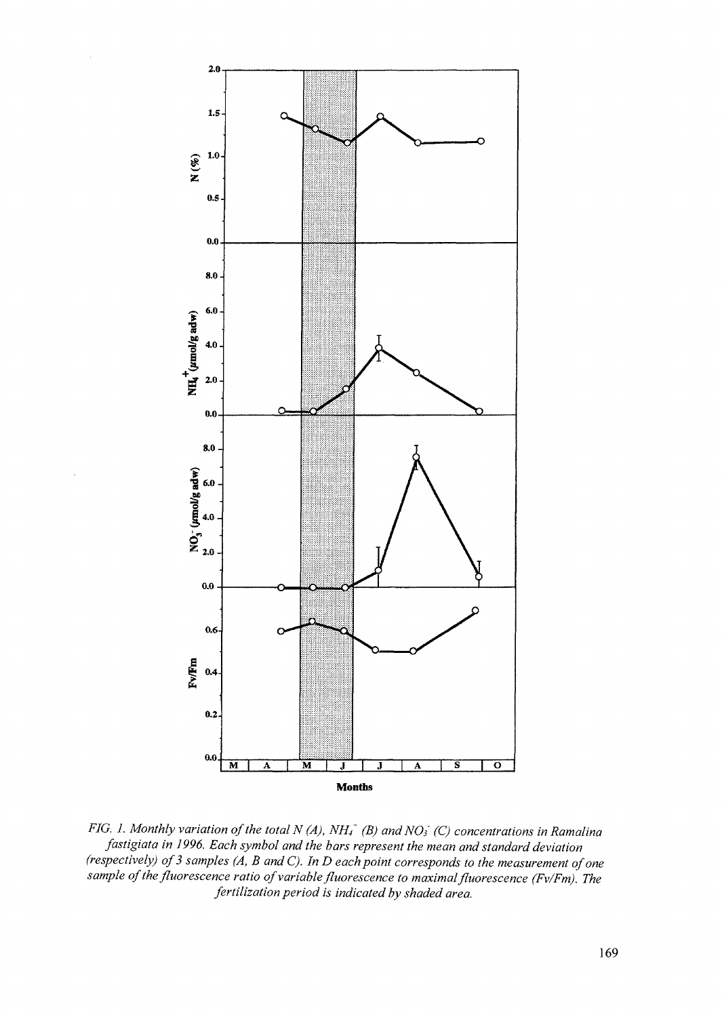

*FIG. 1. Monthly variation of the total N (A), NH<sub>1</sub><sup>* $-$ *</sup> (B) and NO<sub>3</sub><sup>* $-$ *</sup> (C) concentrations in Ramalina fastigiata in 1996. Each symbol and the bars represent the mean and standard deviation (respectively) of 3 samples (A, B and C). In D each point corresponds to the measurement of one sample of the fluorescence ratio of variable fluorescence to maximal fluorescence (Fv/Fm). The fertilization period is indicated by shaded area.*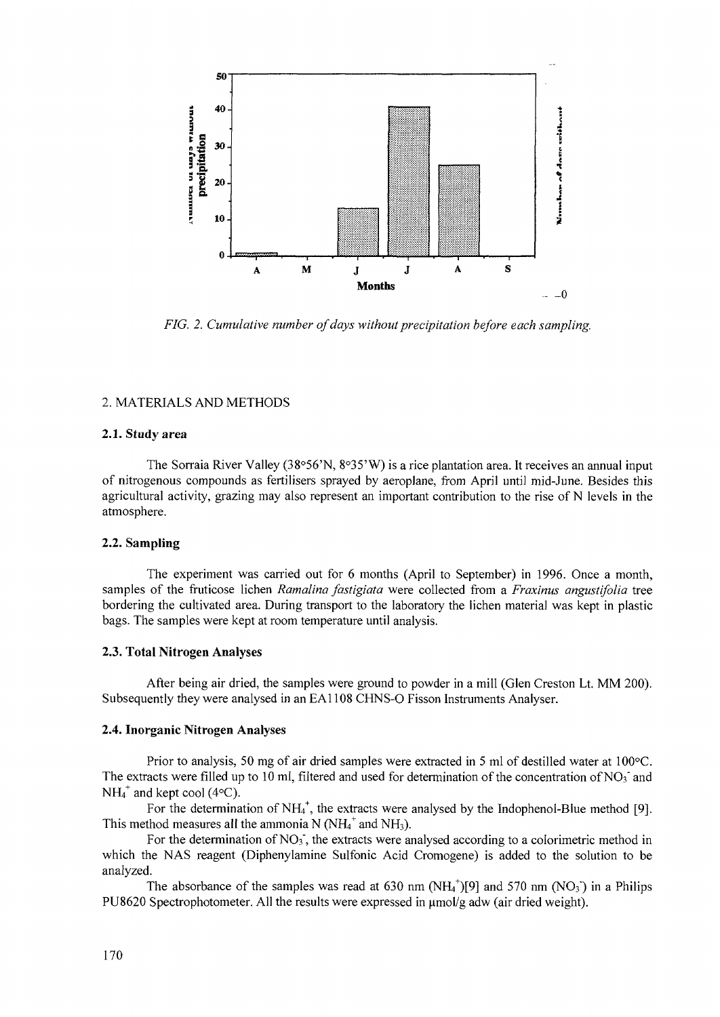

*FIG. 2. Cumulative number of days without precipitation before each sampling.*

# *2.* MATERIALS AND METHODS

#### **2.1. Study area**

The Sorraia River Valley (38°56'N, 8°35'W) is a rice plantation area. It receives an annual input of nitrogenous compounds as fertilisers sprayed by aeroplane, from April until mid-June. Besides this agricultural activity, grazing may also represent an important contribution to the rise of N levels in the atmosphere.

## **2.2. Sampling**

The experiment was carried out for 6 months (April to September) in 1996. Once a month, samples of the fruticose lichen *Ramalina fastigiata* were collected from a *Fraxinus angustifolia* tree bordering the cultivated area. During transport to the laboratory the lichen material was kept in plastic bags. The samples were kept at room temperature until analysis.

### **2.3. Total Nitrogen Analyses**

After being air dried, the samples were ground to powder in a mill (Glen Creston Lt. MM 200). Subsequently they were analysed in an EA1108 CHNS-0 Fisson Instruments Analyser.

### **2.4. Inorganic Nitrogen Analyses**

Prior to analysis, 50 mg of air dried samples were extracted in 5 ml of destilled water at 100°C. The extracts were filled up to 10 ml, filtered and used for determination of the concentration of NO<sub>3</sub><sup>-</sup> and  $NH_4^+$  and kept cool (4 $\degree$ C).

For the determination of  $NH_4^+$ , the extracts were analysed by the Indophenol-Blue method [9]. This method measures all the ammonia N ( $NH_4^+$  and NH<sub>3</sub>).

For the determination of  $NO<sub>3</sub>$ , the extracts were analysed according to a colorimetric method in which the NAS reagent (Diphenylamine Sulfonic Acid Cromogene) is added to the solution to be analyzed.

The absorbance of the samples was read at 630 nm  $(NH_4^+)[9]$  and 570 nm  $(NO_3)$  in a Philips PU8620 Spectrophotometer. All the results were expressed in  $\mu$ mol/g adw (air dried weight).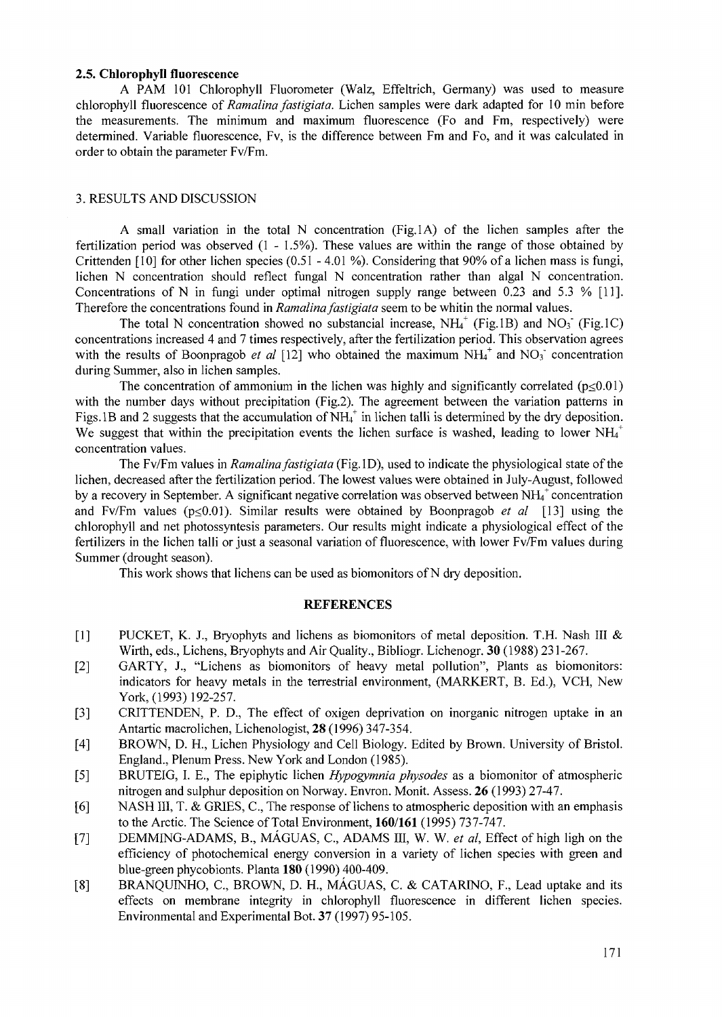## **2.5. Chlorophyll fluorescence**

A PAM 101 Chlorophyll Fluorometer (Walz, Effeltrich, Germany) was used to measure chlorophyll fluorescence of *Ramalina fastigiata.* Lichen samples were dark adapted for 10 min before the measurements. The minimum and maximum fluorescence (Fo and Fm, respectively) were determined. Variable fluorescence, Fv, is the difference between Fm and Fo, and it was calculated in order to obtain the parameter Fv/Fm.

### 3. RESULTS AND DISCUSSION

A small variation in the total N concentration (Fig.lA) of the lichen samples after the fertilization period was observed (1 - 1.5%). These values are within the range of those obtained by Crittenden [10] for other lichen species (0.51 - 4.01 %). Considering that 90% of a lichen mass is fungi, lichen N concentration should reflect fungal N concentration rather than algal N concentration. Concentrations of N in fungi under optimal nitrogen supply range between 0.23 and 5.3 % [11]. Therefore the concentrations found in *Ramalina fastigiata* seem to be whitin the normal values.

The total N concentration showed no substancial increase,  $NH<sub>4</sub><sup>+</sup>$  (Fig.1B) and NO<sub>3</sub> (Fig.1C) concentrations increased 4 and 7 times respectively, after the fertilization period. This observation agrees with the results of Boonpragob et al  $[12]$  who obtained the maximum  $NH_4^+$  and  $NO_3^-$  concentration during Summer, also in lichen samples.

The concentration of ammonium in the lichen was highly and significantly correlated ( $p\leq 0.01$ ) with the number days without precipitation (Fig.2). The agreement between the variation patterns in Figs. IB and 2 suggests that the accumulation of  $NH<sub>4</sub><sup>+</sup>$  in lichen talli is determined by the dry deposition. We suggest that within the precipitation events the lichen surface is washed, leading to lower  $NH<sub>4</sub>$ <sup>+</sup> concentration values.

The Fv/Fm values in *Ramalina fastigiata* (Fig. ID), used to indicate the physiological state of the lichen, decreased after the fertilization period. The lowest values were obtained in July-August, followed by a recovery in September. A significant negative correlation was observed between  $NH<sub>4</sub>$ <sup>+</sup> concentration and Fv/Fm values ( $p \le 0.01$ ). Similar results were obtained by Boonpragob *et al* [13] using the chlorophyll and net photossyntesis parameters. Our results might indicate a physiological effect of the fertilizers in the lichen talli or just a seasonal variation of fluorescence, with lower Fv/Fm values during Summer (drought season).

This work shows that lichens can be used as biomonitors of N dry deposition.

### **REFERENCES**

- [1] PUCKET, K. J., Bryophyts and lichens as biomonitors of metal deposition. T.H. Nash III & Wirth, eds., Lichens, Bryophyts and Air Quality., Bibliogr. Lichenogr. 30 (1988) 231-267.
- [2] GARTY, J., "Lichens as biomonitors of heavy metal pollution", Plants as biomonitors: indicators for heavy metals in the terrestrial environment, (MARKERT, B. Ed.), VCH, New York, (1993) 192-257.
- [3] CRITTENDEN, P. D., The effect of oxigen deprivation on inorganic nitrogen uptake in an Antartic macrolichen, Lichenologist, 28 (1996) 347-354.
- [4] BROWN, D. H., Lichen Physiology and Cell Biology. Edited by Brown. University of Bristol. England., Plenum Press. New York and London (1985).
- [5] BRUTEIG, I. E., The epiphytic lichen *Hypogymnia physodes* as a biomonitor of atmospheric nitrogen and sulphur deposition on Norway. Envron. Monit. Assess. 26 (1993) 27-47.
- [6] NASH III, T. & GRIES, C, The response of lichens to atmospheric deposition with an emphasis to the Arctic. The Science of Total Environment, **160/161** (1995) *121-1 Al.*
- [7] DEMMING-ADAMS, B., MAGUAS, C, ADAMS III, W. W. *et al,* Effect of high ligh on the efficiency of photochemical energy conversion in a variety of lichen species with green and blue-green phycobionts. Planta **180** (1990) 400-409.
- [8] BRANQUINHO, C., BROWN, D. H., MÁGUAS, C. & CATARINO, F., Lead uptake and its effects on membrane integrity in chlorophyll fluorescence in different lichen species. Environmental and Experimental Bot. 37 (1997) 95-105.